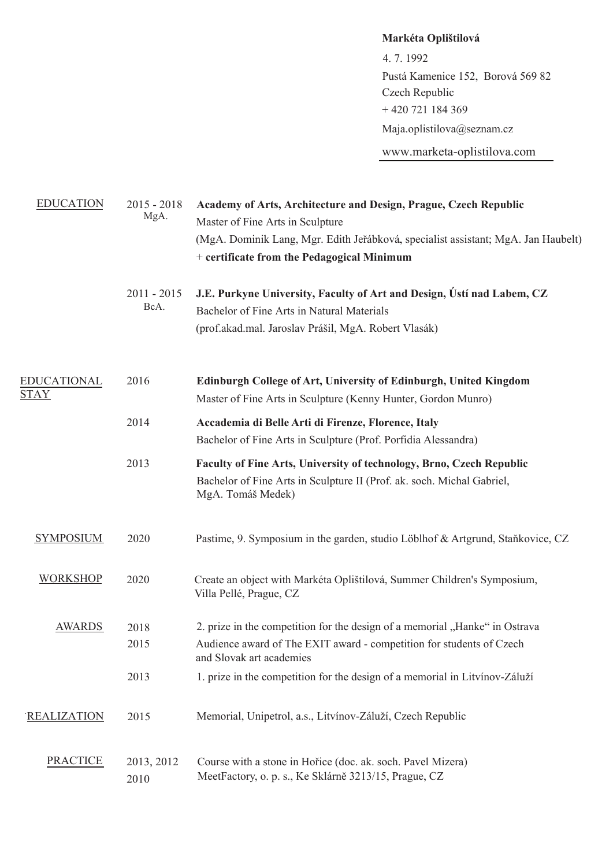**Markéta Oplištilová** 4. 7. 1992 Pustá Kamenice 152, Borová 569 82 + 420 721 184 369 Maja.oplistilova@seznam.cz Czech Republic

www.marketa-oplistilova.com

| <b>EDUCATION</b>                  | $2015 - 2018$<br>MgA. | Academy of Arts, Architecture and Design, Prague, Czech Republic<br>Master of Fine Arts in Sculpture<br>(MgA. Dominik Lang, Mgr. Edith Jeřábková, specialist assistant; MgA. Jan Haubelt)<br>+ certificate from the Pedagogical Minimum |
|-----------------------------------|-----------------------|-----------------------------------------------------------------------------------------------------------------------------------------------------------------------------------------------------------------------------------------|
|                                   | $2011 - 2015$<br>BcA. | J.E. Purkyne University, Faculty of Art and Design, Ústí nad Labem, CZ<br>Bachelor of Fine Arts in Natural Materials<br>(prof.akad.mal. Jaroslav Prášil, MgA. Robert Vlasák)                                                            |
| <b>EDUCATIONAL</b><br><b>STAY</b> | 2016                  | Edinburgh College of Art, University of Edinburgh, United Kingdom<br>Master of Fine Arts in Sculpture (Kenny Hunter, Gordon Munro)                                                                                                      |
|                                   | 2014                  | Accademia di Belle Arti di Firenze, Florence, Italy<br>Bachelor of Fine Arts in Sculpture (Prof. Porfidia Alessandra)                                                                                                                   |
|                                   | 2013                  | Faculty of Fine Arts, University of technology, Brno, Czech Republic<br>Bachelor of Fine Arts in Sculpture II (Prof. ak. soch. Michal Gabriel,<br>MgA. Tomáš Medek)                                                                     |
| <b>SYMPOSIUM</b>                  | 2020                  | Pastime, 9. Symposium in the garden, studio Löblhof & Artgrund, Staňkovice, CZ                                                                                                                                                          |
| <b>WORKSHOP</b>                   | 2020                  | Create an object with Markéta Oplištilová, Summer Children's Symposium,<br>Villa Pellé, Prague, CZ                                                                                                                                      |
| <b>AWARDS</b>                     | 2018<br>2015          | 2. prize in the competition for the design of a memorial "Hanke" in Ostrava<br>Audience award of The EXIT award - competition for students of Czech<br>and Slovak art academies                                                         |
|                                   | 2013                  | 1. prize in the competition for the design of a memorial in Litvínov-Záluží                                                                                                                                                             |
| <b>REALIZATION</b>                | 2015                  | Memorial, Unipetrol, a.s., Litvínov-Záluží, Czech Republic                                                                                                                                                                              |
| <b>PRACTICE</b>                   | 2013, 2012<br>2010    | Course with a stone in Hořice (doc. ak. soch. Pavel Mizera)<br>MeetFactory, o. p. s., Ke Sklárně 3213/15, Prague, CZ                                                                                                                    |